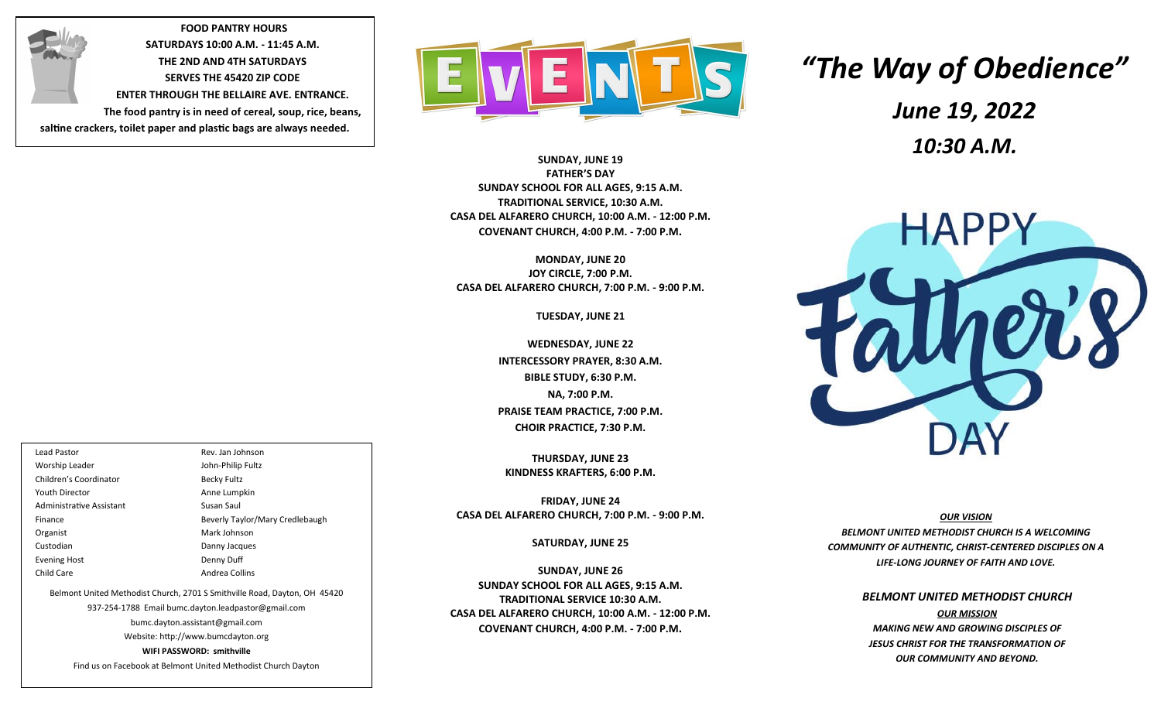**FOOD PANTRY HOURS SATURDAYS 10:00 A.M. - 11:45 A.M. THE 2ND AND 4TH SATURDAYS SERVES THE 45420 ZIP CODE ENTER THROUGH THE BELLAIRE AVE. ENTRANCE. The food pantry is in need of cereal, soup, rice, beans, saltine crackers, toilet paper and plastic bags are always needed.**



**SUNDAY, JUNE 19 FATHER'S DAY SUNDAY SCHOOL FOR ALL AGES, 9:15 A.M. TRADITIONAL SERVICE, 10:30 A.M. CASA DEL ALFARERO CHURCH, 10:00 A.M. - 12:00 P.M. COVENANT CHURCH, 4:00 P.M. - 7:00 P.M.**

**MONDAY, JUNE 20 JOY CIRCLE, 7:00 P.M. CASA DEL ALFARERO CHURCH, 7:00 P.M. - 9:00 P.M.**

**TUESDAY, JUNE 21**

**WEDNESDAY, JUNE 22 INTERCESSORY PRAYER, 8:30 A.M. BIBLE STUDY, 6:30 P.M. NA, 7:00 P.M. PRAISE TEAM PRACTICE, 7:00 P.M. CHOIR PRACTICE, 7:30 P.M.**

**THURSDAY, JUNE 23 KINDNESS KRAFTERS, 6:00 P.M.**

**FRIDAY, JUNE 24 CASA DEL ALFARERO CHURCH, 7:00 P.M. - 9:00 P.M.**

**SATURDAY, JUNE 25**

**SUNDAY, JUNE 26 SUNDAY SCHOOL FOR ALL AGES, 9:15 A.M. TRADITIONAL SERVICE 10:30 A.M. CASA DEL ALFARERO CHURCH, 10:00 A.M. - 12:00 P.M. COVENANT CHURCH, 4:00 P.M. - 7:00 P.M.**

# *"The Way of Obedience" June 19, 2022 10:30 A.M.*



*RESURRECTED ONE OUR VISION BELMONT UNITED METHODIST CHURCH IS A WELCOMING COMMUNITY OF AUTHENTIC, CHRIST-CENTERED DISCIPLES ON A LIFE-LONG JOURNEY OF FAITH AND LOVE.*

> *BELMONT UNITED METHODIST CHURCH OUR MISSION MAKING NEW AND GROWING DISCIPLES OF JESUS CHRIST FOR THE TRANSFORMATION OF OUR COMMUNITY AND BEYOND.*

Lead Pastor Rev. Jan Johnson Worship Leader **John-Philip Fultz** Children's Coordinator **Becky Fultz** Youth Director **Anne Lumpkin** Administrative Assistant Susan Saul Finance Beverly Taylor/Mary Credlebaugh Organist Mark Johnson Custodian Danny Jacques

Evening Host **Denny Duff** Child Care **Andrea Collins** Belmont United Methodist Church, 2701 S Smithville Road, Dayton, OH 45420 937-254-1788 Email bumc.dayton.leadpastor@gmail.com bumc.dayton.assistant@gmail.com Website: http://www.bumcdayton.org

**WIFI PASSWORD: smithville**

Find us on Facebook at Belmont United Methodist Church Dayton